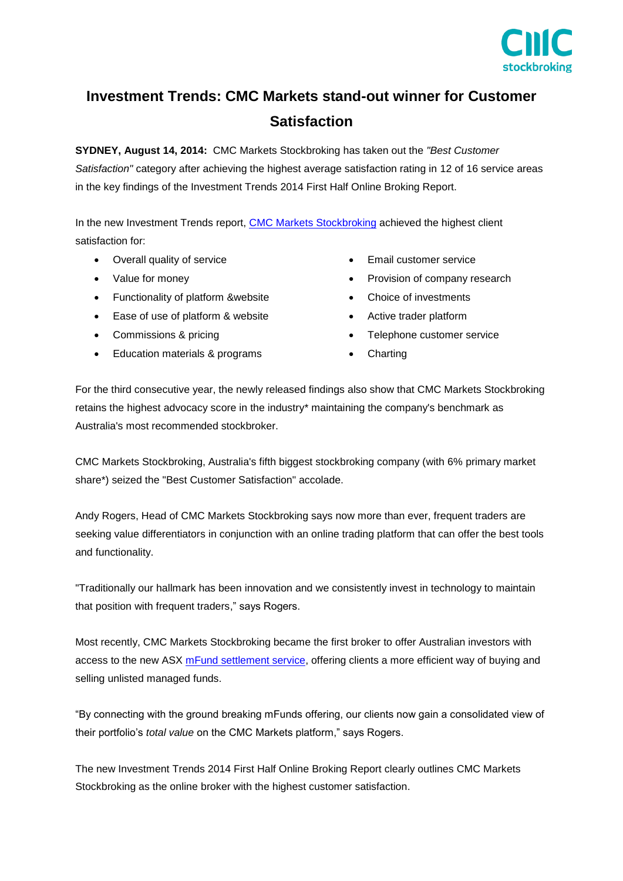

## **Investment Trends: CMC Markets stand-out winner for Customer Satisfaction**

**SYDNEY, August 14, 2014:** CMC Markets Stockbroking has taken out the *"Best Customer Satisfaction"* category after achieving the highest average satisfaction rating in 12 of 16 service areas in the key findings of the Investment Trends 2014 First Half Online Broking Report.

In the new Investment Trends report, [CMC Markets Stockbroking](http://www.cmcmarkets.com.au/en/stockbroking/mfunds) achieved the highest client satisfaction for:

- Overall quality of service
- Value for money
- Functionality of platform &website
- Ease of use of platform & website
- Commissions & pricing
- Education materials & programs
- **Email customer service**
- Provision of company research
- Choice of investments
- Active trader platform
- Telephone customer service
- **Charting**

For the third consecutive year, the newly released findings also show that CMC Markets Stockbroking retains the highest advocacy score in the industry\* maintaining the company's benchmark as Australia's most recommended stockbroker.

CMC Markets Stockbroking, Australia's fifth biggest stockbroking company (with 6% primary market share\*) seized the "Best Customer Satisfaction" accolade.

Andy Rogers, Head of CMC Markets Stockbroking says now more than ever, frequent traders are seeking value differentiators in conjunction with an online trading platform that can offer the best tools and functionality.

"Traditionally our hallmark has been innovation and we consistently invest in technology to maintain that position with frequent traders," says Rogers.

Most recently, CMC Markets Stockbroking became the first broker to offer Australian investors with access to the new ASX [mFund settlement service,](http://www.cmcmarkets.com.au/en/stockbroking/mfunds) offering clients a more efficient way of buying and selling unlisted managed funds.

"By connecting with the ground breaking mFunds offering, our clients now gain a consolidated view of their portfolio's *total value* on the CMC Markets platform," says Rogers.

The new Investment Trends 2014 First Half Online Broking Report clearly outlines CMC Markets Stockbroking as the online broker with the highest customer satisfaction.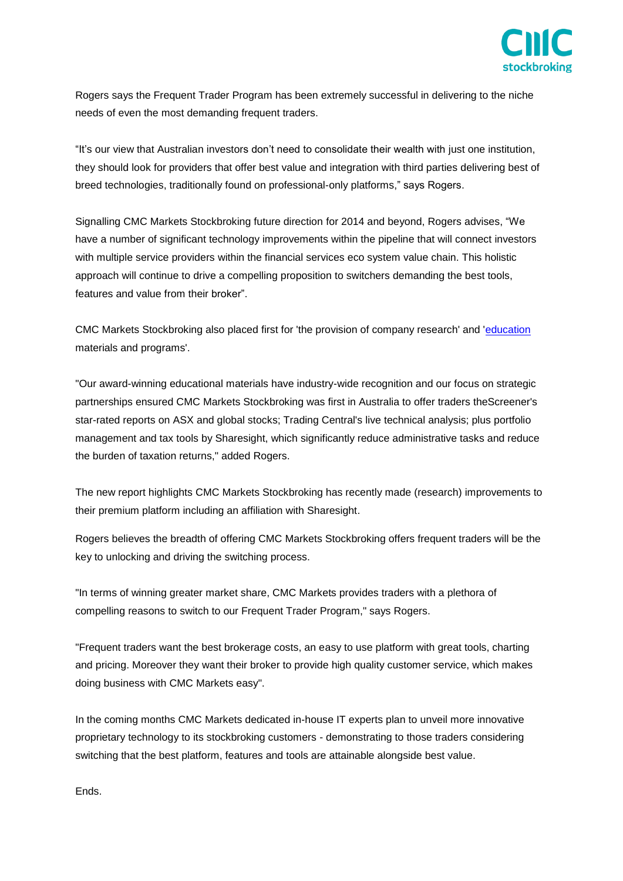

Rogers says the Frequent Trader Program has been extremely successful in delivering to the niche needs of even the most demanding frequent traders.

"It's our view that Australian investors don't need to consolidate their wealth with just one institution, they should look for providers that offer best value and integration with third parties delivering best of breed technologies, traditionally found on professional-only platforms," says Rogers.

Signalling CMC Markets Stockbroking future direction for 2014 and beyond, Rogers advises, "We have a number of significant technology improvements within the pipeline that will connect investors with multiple service providers within the financial services eco system value chain. This holistic approach will continue to drive a compelling proposition to switchers demanding the best tools, features and value from their broker".

CMC Markets Stockbroking also placed first for 'the provision of company research' and ['education](http://www.cmcmarkets.com.au/en/education) materials and programs'.

"Our award-winning educational materials have industry-wide recognition and our focus on strategic partnerships ensured CMC Markets Stockbroking was first in Australia to offer traders theScreener's star-rated reports on ASX and global stocks; Trading Central's live technical analysis; plus portfolio management and tax tools by Sharesight, which significantly reduce administrative tasks and reduce the burden of taxation returns," added Rogers.

The new report highlights CMC Markets Stockbroking has recently made (research) improvements to their premium platform including an affiliation with Sharesight.

Rogers believes the breadth of offering CMC Markets Stockbroking offers frequent traders will be the key to unlocking and driving the switching process.

"In terms of winning greater market share, CMC Markets provides traders with a plethora of compelling reasons to switch to our Frequent Trader Program," says Rogers.

"Frequent traders want the best brokerage costs, an easy to use platform with great tools, charting and pricing. Moreover they want their broker to provide high quality customer service, which makes doing business with CMC Markets easy".

In the coming months CMC Markets dedicated in-house IT experts plan to unveil more innovative proprietary technology to its stockbroking customers - demonstrating to those traders considering switching that the best platform, features and tools are attainable alongside best value.

Ends.